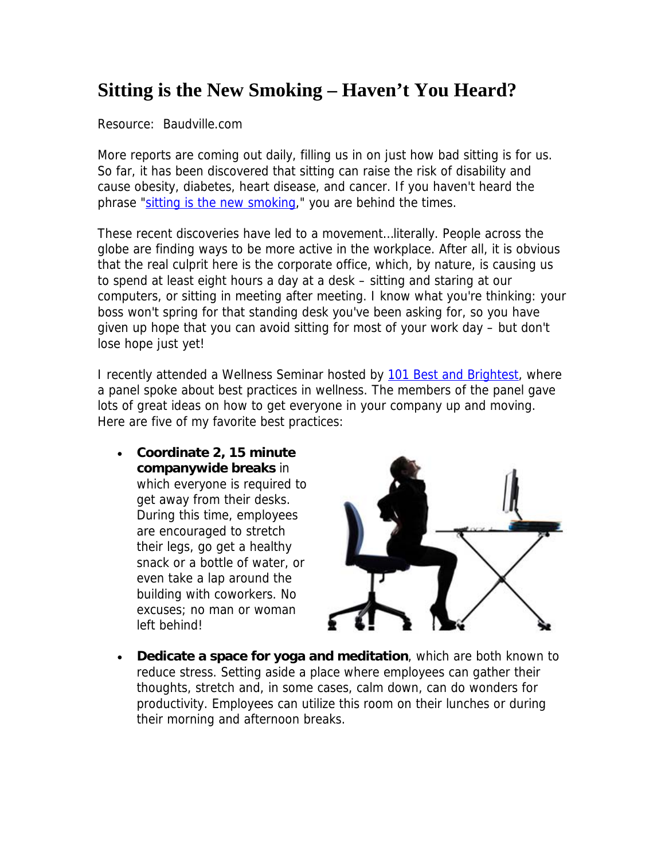## **Sitting is the New Smoking – Haven't You Heard?**

Resource: Baudville.com

More reports are coming out daily, filling us in on just how bad sitting is for us. So far, it has been discovered that sitting can raise the risk of disability and cause obesity, diabetes, heart disease, and cancer. If you haven't heard the phrase "sitting is the new smoking," you are behind the times.

These recent discoveries have led to a movement…literally. People across the globe are finding ways to be more active in the workplace. After all, it is obvious that the real culprit here is the corporate office, which, by nature, is causing us to spend at least eight hours a day at a desk – sitting and staring at our computers, or sitting in meeting after meeting. I know what you're thinking: your boss won't spring for that standing desk you've been asking for, so you have given up hope that you can avoid sitting for most of your work day – but don't lose hope just yet!

I recently attended a Wellness Seminar hosted by 101 Best and Brightest, where a panel spoke about best practices in wellness. The members of the panel gave lots of great ideas on how to get everyone in your company up and moving. Here are five of my favorite best practices:

 **Coordinate 2, 15 minute companywide breaks** in which everyone is required to get away from their desks. During this time, employees are encouraged to stretch their legs, go get a healthy snack or a bottle of water, or even take a lap around the building with coworkers. No excuses; no man or woman left behind!



 **Dedicate a space for yoga and meditation**, which are both known to reduce stress. Setting aside a place where employees can gather their thoughts, stretch and, in some cases, calm down, can do wonders for productivity. Employees can utilize this room on their lunches or during their morning and afternoon breaks.